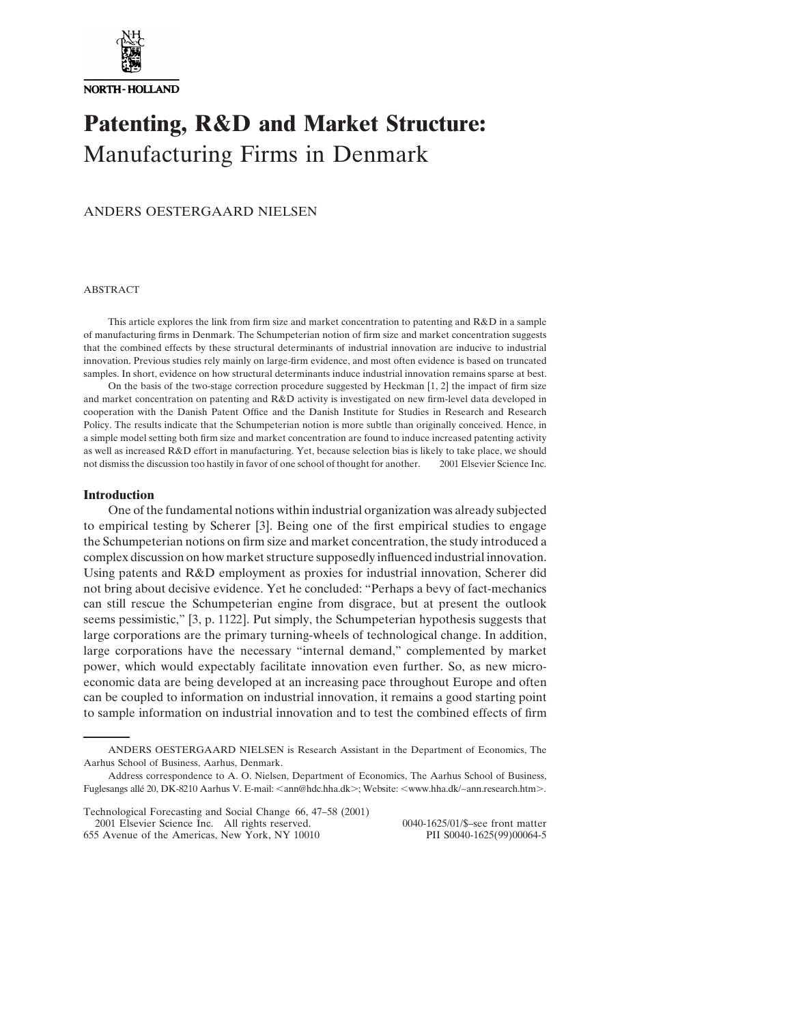

# **Patenting, R&D and Market Structure:** Manufacturing Firms in Denmark

### ANDERS OESTERGAARD NIELSEN

#### ABSTRACT

This article explores the link from firm size and market concentration to patenting and R&D in a sample of manufacturing firms in Denmark. The Schumpeterian notion of firm size and market concentration suggests that the combined effects by these structural determinants of industrial innovation are inducive to industrial innovation. Previous studies rely mainly on large-firm evidence, and most often evidence is based on truncated samples. In short, evidence on how structural determinants induce industrial innovation remains sparse at best.

On the basis of the two-stage correction procedure suggested by Heckman [1, 2] the impact of firm size and market concentration on patenting and R&D activity is investigated on new firm-level data developed in cooperation with the Danish Patent Office and the Danish Institute for Studies in Research and Research Policy. The results indicate that the Schumpeterian notion is more subtle than originally conceived. Hence, in a simple model setting both firm size and market concentration are found to induce increased patenting activity as well as increased R&D effort in manufacturing. Yet, because selection bias is likely to take place, we should not dismiss the discussion too hastily in favor of one school of thought for another. © 2001 Elsevier Science Inc.

#### **Introduction**

One of the fundamental notions within industrial organization was already subjected to empirical testing by Scherer [3]. Being one of the first empirical studies to engage the Schumpeterian notions on firm size and market concentration, the study introduced a complex discussion on how market structure supposedly influenced industrial innovation. Using patents and R&D employment as proxies for industrial innovation, Scherer did not bring about decisive evidence. Yet he concluded: "Perhaps a bevy of fact-mechanics can still rescue the Schumpeterian engine from disgrace, but at present the outlook seems pessimistic," [3, p. 1122]. Put simply, the Schumpeterian hypothesis suggests that large corporations are the primary turning-wheels of technological change. In addition, large corporations have the necessary "internal demand," complemented by market power, which would expectably facilitate innovation even further. So, as new microeconomic data are being developed at an increasing pace throughout Europe and often can be coupled to information on industrial innovation, it remains a good starting point to sample information on industrial innovation and to test the combined effects of firm

655 Avenue of the Americas, New York, NY 10010

ANDERS OESTERGAARD NIELSEN is Research Assistant in the Department of Economics, The Aarhus School of Business, Aarhus, Denmark.

Address correspondence to A. O. Nielsen, Department of Economics, The Aarhus School of Business, Fuglesangs allé 20, DK-8210 Aarhus V. E-mail: <ann@hdc.hha.dk>; Website: <www.hha.dk/~ann.research.htm>.

Technological Forecasting and Social Change 66, 47–58 (2001)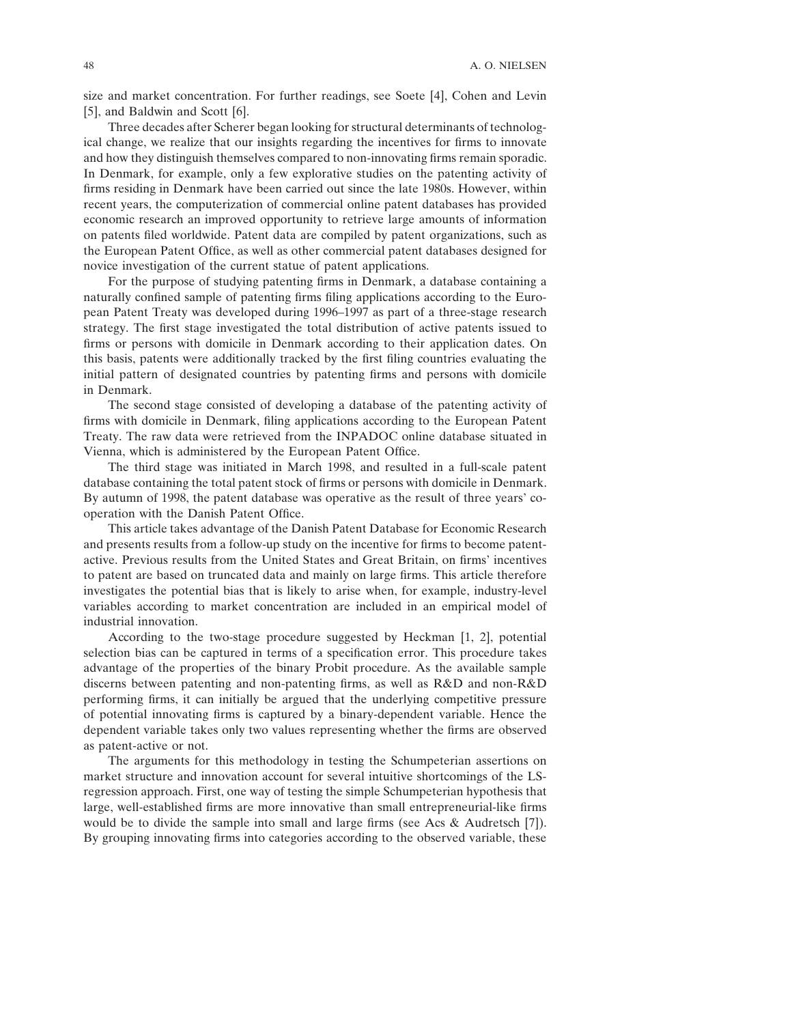size and market concentration. For further readings, see Soete [4], Cohen and Levin [5], and Baldwin and Scott [6].

Three decades after Scherer began looking for structural determinants of technological change, we realize that our insights regarding the incentives for firms to innovate and how they distinguish themselves compared to non-innovating firms remain sporadic. In Denmark, for example, only a few explorative studies on the patenting activity of firms residing in Denmark have been carried out since the late 1980s. However, within recent years, the computerization of commercial online patent databases has provided economic research an improved opportunity to retrieve large amounts of information on patents filed worldwide. Patent data are compiled by patent organizations, such as the European Patent Office, as well as other commercial patent databases designed for novice investigation of the current statue of patent applications.

For the purpose of studying patenting firms in Denmark, a database containing a naturally confined sample of patenting firms filing applications according to the European Patent Treaty was developed during 1996–1997 as part of a three-stage research strategy. The first stage investigated the total distribution of active patents issued to firms or persons with domicile in Denmark according to their application dates. On this basis, patents were additionally tracked by the first filing countries evaluating the initial pattern of designated countries by patenting firms and persons with domicile in Denmark.

The second stage consisted of developing a database of the patenting activity of firms with domicile in Denmark, filing applications according to the European Patent Treaty. The raw data were retrieved from the INPADOC online database situated in Vienna, which is administered by the European Patent Office.

The third stage was initiated in March 1998, and resulted in a full-scale patent database containing the total patent stock of firms or persons with domicile in Denmark. By autumn of 1998, the patent database was operative as the result of three years' cooperation with the Danish Patent Office.

This article takes advantage of the Danish Patent Database for Economic Research and presents results from a follow-up study on the incentive for firms to become patentactive. Previous results from the United States and Great Britain, on firms' incentives to patent are based on truncated data and mainly on large firms. This article therefore investigates the potential bias that is likely to arise when, for example, industry-level variables according to market concentration are included in an empirical model of industrial innovation.

According to the two-stage procedure suggested by Heckman [1, 2], potential selection bias can be captured in terms of a specification error. This procedure takes advantage of the properties of the binary Probit procedure. As the available sample discerns between patenting and non-patenting firms, as well as R&D and non-R&D performing firms, it can initially be argued that the underlying competitive pressure of potential innovating firms is captured by a binary-dependent variable. Hence the dependent variable takes only two values representing whether the firms are observed as patent-active or not.

The arguments for this methodology in testing the Schumpeterian assertions on market structure and innovation account for several intuitive shortcomings of the LSregression approach. First, one way of testing the simple Schumpeterian hypothesis that large, well-established firms are more innovative than small entrepreneurial-like firms would be to divide the sample into small and large firms (see Acs & Audretsch [7]). By grouping innovating firms into categories according to the observed variable, these